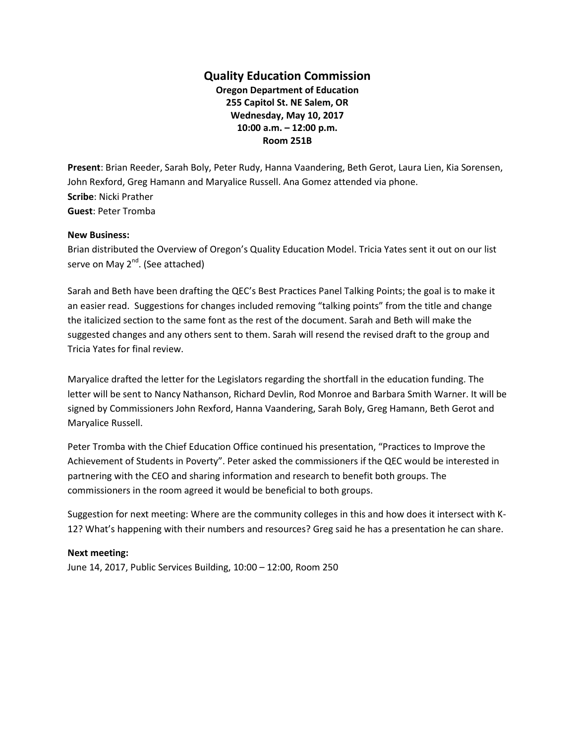## **Quality Education Commission**

**Oregon Department of Education 255 Capitol St. NE Salem, OR Wednesday, May 10, 2017 10:00 a.m. – 12:00 p.m. Room 251B**

**Present**: Brian Reeder, Sarah Boly, Peter Rudy, Hanna Vaandering, Beth Gerot, Laura Lien, Kia Sorensen, John Rexford, Greg Hamann and Maryalice Russell. Ana Gomez attended via phone. **Scribe**: Nicki Prather **Guest**: Peter Tromba

## **New Business:**

Brian distributed the Overview of Oregon's Quality Education Model. Tricia Yates sent it out on our list serve on May 2<sup>nd</sup>. (See attached)

Sarah and Beth have been drafting the QEC's Best Practices Panel Talking Points; the goal is to make it an easier read. Suggestions for changes included removing "talking points" from the title and change the italicized section to the same font as the rest of the document. Sarah and Beth will make the suggested changes and any others sent to them. Sarah will resend the revised draft to the group and Tricia Yates for final review.

Maryalice drafted the letter for the Legislators regarding the shortfall in the education funding. The letter will be sent to Nancy Nathanson, Richard Devlin, Rod Monroe and Barbara Smith Warner. It will be signed by Commissioners John Rexford, Hanna Vaandering, Sarah Boly, Greg Hamann, Beth Gerot and Maryalice Russell.

Peter Tromba with the Chief Education Office continued his presentation, "Practices to Improve the Achievement of Students in Poverty". Peter asked the commissioners if the QEC would be interested in partnering with the CEO and sharing information and research to benefit both groups. The commissioners in the room agreed it would be beneficial to both groups.

Suggestion for next meeting: Where are the community colleges in this and how does it intersect with K-12? What's happening with their numbers and resources? Greg said he has a presentation he can share.

## **Next meeting:**

June 14, 2017, Public Services Building, 10:00 – 12:00, Room 250